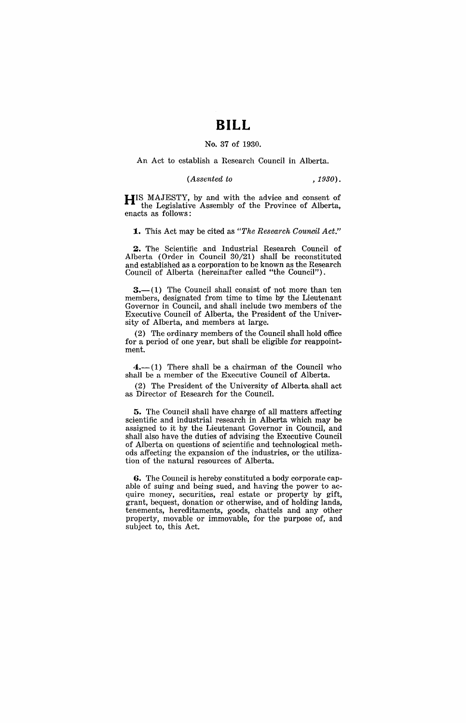# **BILL**

#### No. 37 of 1930.

An Act to establish a Research Council in Alberta.

*(Assented to ,1930).* 

**HIS** MAJESTY, by and with the advice and consent of the Legislative Assembly of the Province of Alberta, enacts as follows:

**1.** This Act may be cited as *"The Research Council Act."* 

**2.** The Scientific and Industrial Research Council of Alberta (Order in Council 30/21) shall be reconstituted and established as a corporation to be known as the Research Council of Alberta (hereinafter called "the Council").

 $3.$ — $(1)$  The Council shall consist of not more than ten members, designated from time to time by the Lieutenant Governor in Council, and shall include two members of the Executive Council of Alberta, the President of the University of Alberta, and members at large.

(2) The ordinary members of the Council shall hold office for a period of one year, but shall be eligible for reappointment.

 $4.-(1)$  There shall be a chairman of the Council who shall be a member of the Executive Council of Alberta.

(2) The President of the University of Alberta, shall act as Director of Research for the Council.

**5.** The Council shall have charge of all matters affecting scientific and industrial research in Alberta which may be assigned to it by the Lieutenant Governor in Council, and shall also have the duties of advising the Executive Council of Alberta on questions of scientific and technological methods affecting the expansion of the industries, or the utilization of the natural resources of Alberta.

**6.** The Council is hereby constituted a body corporate capable of suing and being sued, and having the power to acquire money, securities, real estate or property by gift, grant, bequest, donation or otherwise, and of holding lands, tenements, hereditaments, goods, chattels and any other property, movable or immovable, for the purpose of, and subject to, this Act.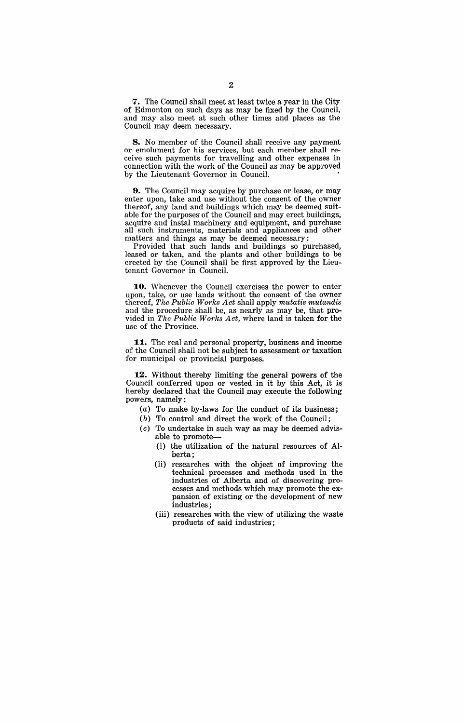**7.** The Council shall meet at least twice a year in the City of Edmonton on such days as may be fixed by the Council, and may also meet at such other times and places as the Council may deem necessary.

**8.** No member of the Council shall receive any payment or emolument for his services, but each member shall receive such payments for travelling and other expenses in connection with the work of the Council as may be approved by the Lieutenant Governor in Council.

9.. The Council may acquire by purchase or lease, or may enter upon, take and use without the consent of the owner thereof, any land and buildings which may be deemed suitable for the purposes of the Council and may erect buildings, acquire and instal machinery and equipment, and purchase all such instruments, materials and appliances and other matters and things as may be deemed necessary:

Provided that such lands and buildings so purchased, leased or taken, and the plants and other buildings to be erected by the Council shall be first approved by the Lieu-. tenant Governor in Council.

**10.** Whenever the Council exercises the power to enter upon, take, or use lands without the consent of the owner thereof, *The Public Works Act* shall apply *mutatis mutandis*  and the procedure shall be, as nearly as may be, that provided in *The Public Works Act*, where land is taken for the use of the Province.

**11.** The real and personal property, business and income of the Council shall not be subject to assessment or taxation for municipal or provincial purposes.

12. Without thereby limiting the general powers of the Council conferred upon or vested in it by this Act, it is' hereby declared that the Council may execute the following powers, namely:

- (a) To make by-laws for the conduct of its business;
- $(b)$  To control and direct the work of the Council;
- (c) To undertake in such way as may be deemed advisable to promote-
	- (i) the utilization of the natural resources of Alberta;
	- (ii) researches with the object of improving the technical processes and methods used in the industries of Alberta and of discovering processes and methods which may promote the expansion of existing or the development of new industries;
	- (iii) researches with the view of utilizing the waste products of said industries;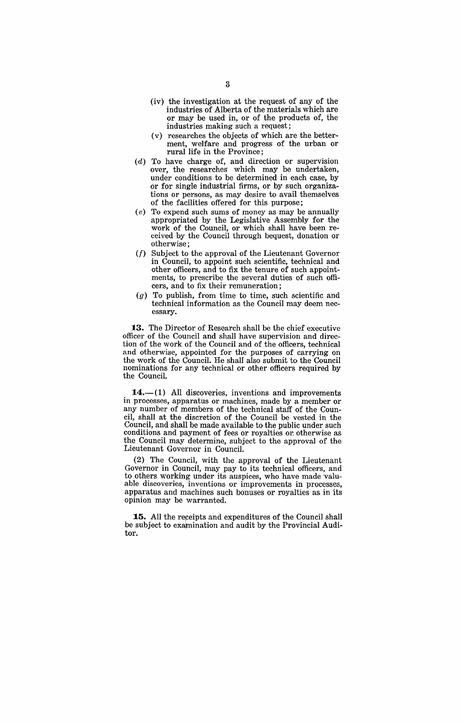- (iv) the investigation at the request of any of the industries of Alberta of the materials which are or may be used in, or of the products of, the industries making such a request;
- (v) researches the objects of which are the betterment, welfare and progress of the urban or rural life in the Province;
- (d) To have charge of, and direction or supervision over, the researches' which may be undertaken, under conditions to be determined in each case, by or for single industrial firms, or by such organizations or persons, as may desire to avail themselves of the facilities offered for this purpose;
- (e) To expend such sums of money as may be annually appropriated by the Legislative Assembly for the work of the Council, or which shall have been received by the Council through bequest, donation or otherwise;
- (f) Subject to the approval of the Lieutenant Governor in Council, to appoint such scientific, technical and other officers, and to fix the tenure of such appointments, to prescribe the several duties of such officers, and to fix their remuneration;
- $(g)$  To publish, from time to time, such scientific and technical information as the Council may deem necessary.

**13.** The Director of Research shall be the chief executive officer of the Council and shall have supervision and direction of the work of the Council and of the officers, technical and otherwise, appointed for the purposes of carrying on the work of the Council. He shall also submit to the Council nominations for any technical or other officers required by the Council.

 $14.$ - $(1)$  All discoveries, inventions and improvements in processes, apparatus or machines, made by a member or any number of members of the technical staff of the Council, shall at the discretion of the Council be vested in the Council, and shall be made available to the public under such conditions and payment of fees or royalties or otherwise as the Council may determine, subject to the approval of the Lieutenant Governor in Council.

(2) The Council, with the approval of the Lieutenant Governor in Council, may pay to its technical officers, and to others working under its auspices, who have made valuable discoveries, inventions or improvements in processes, apparatus and machines such bonuses or royalties as in its opinion may be warranted.

**15.** All the receipts and expenditures of the Council shall be subject to examination and audit by the Provincial Auditor.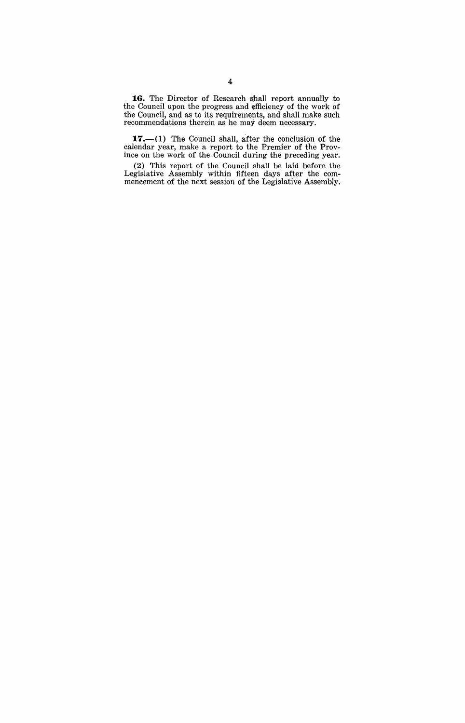**1.6.** The Director of Research shall report annually to the Council upon the progress and efficiency of the work of the Council, and as to its requirements, and shall make such recommendations therein as he may deem necessary.

**17.**—(1) The Council shall, after the conclusion of the calendar year, make a report to the Premier of the Province on the work of the Council during the preceding year.

(2) This report of the Council Shall be laid before the Legislative Assembly within fifteen days after the commencement of the next session of the Legislative Assembly.